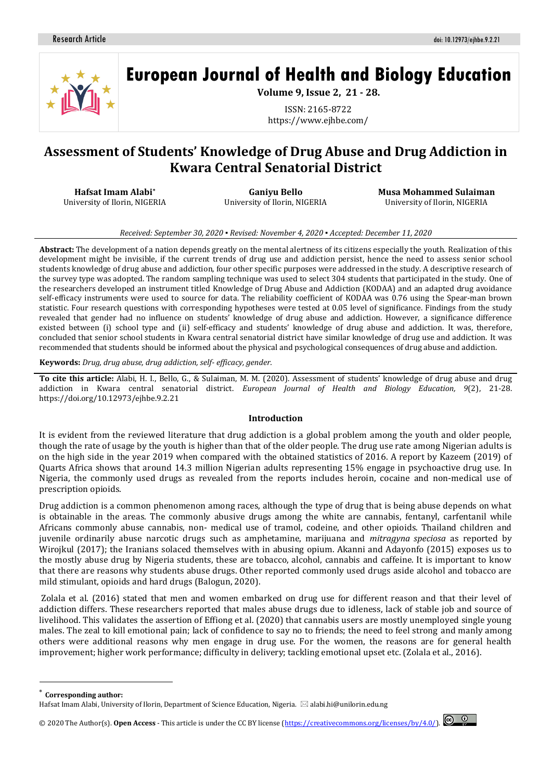

# **European Journal of Health and Biology Education**

**Volume 9, Issue 2, 21 - 28.**

ISSN: 2165-8722 https://www.ejhbe.com/

# **Assessment of Students' Knowledge of Drug Abuse and Drug Addiction in Kwara Central Senatorial District**

**Hafsat Imam Alabi\*** University of Ilorin, NIGERIA

**Ganiyu Bello** University of Ilorin, NIGERIA **Musa Mohammed Sulaiman** University of Ilorin, NIGERIA

#### *Received: September 30, 2020 ▪ Revised: November 4, 2020 ▪ Accepted: December 11, 2020*

**Abstract:** The development of a nation depends greatly on the mental alertness of its citizens especially the youth. Realization of this development might be invisible, if the current trends of drug use and addiction persist, hence the need to assess senior school students knowledge of drug abuse and addiction, four other specific purposes were addressed in the study. A descriptive research of the survey type was adopted. The random sampling technique was used to select 304 students that participated in the study. One of the researchers developed an instrument titled Knowledge of Drug Abuse and Addiction (KODAA) and an adapted drug avoidance self-efficacy instruments were used to source for data. The reliability coefficient of KODAA was 0.76 using the Spear-man brown statistic. Four research questions with corresponding hypotheses were tested at 0.05 level of significance. Findings from the study revealed that gender had no influence on students' knowledge of drug abuse and addiction. However, a significance difference existed between (i) school type and (ii) self-efficacy and students' knowledge of drug abuse and addiction. It was, therefore, concluded that senior school students in Kwara central senatorial district have similar knowledge of drug use and addiction. It was recommended that students should be informed about the physical and psychological consequences of drug abuse and addiction.

**Keywords:** *Drug, drug abuse, drug addiction, self- efficacy, gender.*

**To cite this article:** Alabi, H. I., Bello, G., & Sulaiman, M. M. (2020). Assessment of students' knowledge of drug abuse and drug addiction in Kwara central senatorial district. *European Journal of Health and Biology Education, 9*(2), 21-28. https://doi.org/10.12973/ejhbe.9.2.21

#### **Introduction**

It is evident from the reviewed literature that drug addiction is a global problem among the youth and older people, though the rate of usage by the youth is higher than that of the older people. The drug use rate among Nigerian adults is on the high side in the year 2019 when compared with the obtained statistics of 2016. A report by Kazeem (2019) of Quarts Africa shows that around 14.3 million Nigerian adults representing 15% engage in psychoactive drug use. In Nigeria, the commonly used drugs as revealed from the reports includes heroin, cocaine and non-medical use of prescription opioids.

Drug addiction is a common phenomenon among races, although the type of drug that is being abuse depends on what is obtainable in the areas. The commonly abusive drugs among the white are cannabis, fentanyl, carfentanil while Africans commonly abuse cannabis, non- medical use of tramol, codeine, and other opioids. Thailand children and juvenile ordinarily abuse narcotic drugs such as amphetamine, marijuana and *mitragyna speciosa* as reported by Wirojkul (2017); the Iranians solaced themselves with in abusing opium. Akanni and Adayonfo (2015) exposes us to the mostly abuse drug by Nigeria students, these are tobacco, alcohol, cannabis and caffeine. It is important to know that there are reasons why students abuse drugs. Other reported commonly used drugs aside alcohol and tobacco are mild stimulant, opioids and hard drugs (Balogun, 2020).

Zolala et al. (2016) stated that men and women embarked on drug use for different reason and that their level of addiction differs. These researchers reported that males abuse drugs due to idleness, lack of stable job and source of livelihood. This validates the assertion of Effiong et al. (2020) that cannabis users are mostly unemployed single young males. The zeal to kill emotional pain; lack of confidence to say no to friends; the need to feel strong and manly among others were additional reasons why men engage in drug use. For the women, the reasons are for general health improvement; higher work performance; difficulty in delivery; tackling emotional upset etc. (Zolala et al., 2016).

 $\overline{\phantom{a}}$ 

© 2020 The Author(s). **Open Access** - This article is under the CC BY license [\(https://creativecommons.org/licenses/by/4.0/\)](https://creativecommons.org/licenses/by/4.0/).



**Corresponding author:** 

Hafsat Imam Alabi, University of Ilorin, Department of Science Education, Nigeria.  $\boxtimes$  alabi.hi@unilorin.edu.ng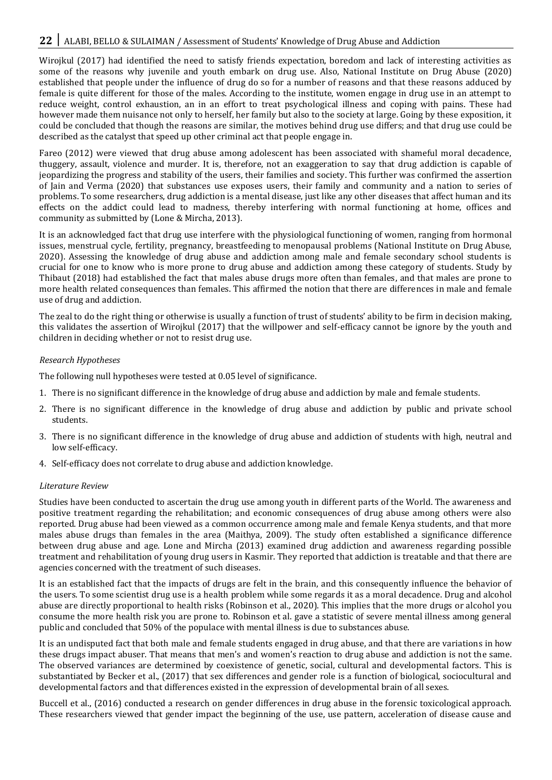# 22 | ALABI, BELLO & SULAIMAN / Assessment of Students' Knowledge of Drug Abuse and Addiction

Wirojkul (2017) had identified the need to satisfy friends expectation, boredom and lack of interesting activities as some of the reasons why juvenile and youth embark on drug use. Also, National Institute on Drug Abuse (2020) established that people under the influence of drug do so for a number of reasons and that these reasons adduced by female is quite different for those of the males. According to the institute, women engage in drug use in an attempt to reduce weight, control exhaustion, an in an effort to treat psychological illness and coping with pains. These had however made them nuisance not only to herself, her family but also to the society at large. Going by these exposition, it could be concluded that though the reasons are similar, the motives behind drug use differs; and that drug use could be described as the catalyst that speed up other criminal act that people engage in.

Fareo (2012) were viewed that drug abuse among adolescent has been associated with shameful moral decadence, thuggery, assault, violence and murder. It is, therefore, not an exaggeration to say that drug addiction is capable of jeopardizing the progress and stability of the users, their families and society. This further was confirmed the assertion of Jain and Verma (2020) that substances use exposes users, their family and community and a nation to series of problems. To some researchers, drug addiction is a mental disease, just like any other diseases that affect human and its effects on the addict could lead to madness, thereby interfering with normal functioning at home, offices and community as submitted by (Lone & Mircha, 2013).

It is an acknowledged fact that drug use interfere with the physiological functioning of women, ranging from hormonal issues, menstrual cycle, fertility, pregnancy, breastfeeding to menopausal problems (National Institute on Drug Abuse, 2020). Assessing the knowledge of drug abuse and addiction among male and female secondary school students is crucial for one to know who is more prone to drug abuse and addiction among these category of students. Study by Thibaut (2018) had established the fact that males abuse drugs more often than females, and that males are prone to more health related consequences than females. This affirmed the notion that there are differences in male and female use of drug and addiction.

The zeal to do the right thing or otherwise is usually a function of trust of students' ability to be firm in decision making, this validates the assertion of Wirojkul (2017) that the willpower and self-efficacy cannot be ignore by the youth and children in deciding whether or not to resist drug use.

#### *Research Hypotheses*

The following null hypotheses were tested at 0.05 level of significance.

- 1. There is no significant difference in the knowledge of drug abuse and addiction by male and female students.
- 2. There is no significant difference in the knowledge of drug abuse and addiction by public and private school students.
- 3. There is no significant difference in the knowledge of drug abuse and addiction of students with high, neutral and low self-efficacy.
- 4. Self-efficacy does not correlate to drug abuse and addiction knowledge.

#### *Literature Review*

Studies have been conducted to ascertain the drug use among youth in different parts of the World. The awareness and positive treatment regarding the rehabilitation; and economic consequences of drug abuse among others were also reported. Drug abuse had been viewed as a common occurrence among male and female Kenya students, and that more males abuse drugs than females in the area (Maithya, 2009). The study often established a significance difference between drug abuse and age. Lone and Mircha (2013) examined drug addiction and awareness regarding possible treatment and rehabilitation of young drug users in Kasmir. They reported that addiction is treatable and that there are agencies concerned with the treatment of such diseases.

It is an established fact that the impacts of drugs are felt in the brain, and this consequently influence the behavior of the users. To some scientist drug use is a health problem while some regards it as a moral decadence. Drug and alcohol abuse are directly proportional to health risks (Robinson et al., 2020). This implies that the more drugs or alcohol you consume the more health risk you are prone to. Robinson et al. gave a statistic of severe mental illness among general public and concluded that 50% of the populace with mental illness is due to substances abuse.

It is an undisputed fact that both male and female students engaged in drug abuse, and that there are variations in how these drugs impact abuser. That means that men's and women's reaction to drug abuse and addiction is not the same. The observed variances are determined by coexistence of genetic, social, cultural and developmental factors. This is substantiated by Becker et al., (2017) that sex differences and gender role is a function of biological, sociocultural and developmental factors and that differences existed in the expression of developmental brain of all sexes.

Buccell et al., (2016) conducted a research on gender differences in drug abuse in the forensic toxicological approach. These researchers viewed that gender impact the beginning of the use, use pattern, acceleration of disease cause and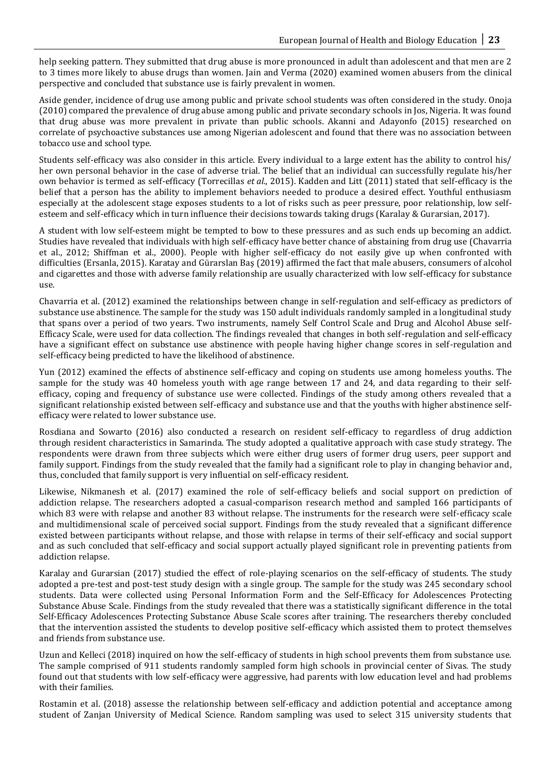help seeking pattern. They submitted that drug abuse is more pronounced in adult than adolescent and that men are 2 to 3 times more likely to abuse drugs than women. Jain and Verma (2020) examined women abusers from the clinical perspective and concluded that substance use is fairly prevalent in women.

Aside gender, incidence of drug use among public and private school students was often considered in the study. Onoja (2010) compared the prevalence of drug abuse among public and private secondary schools in Jos, Nigeria. It was found that drug abuse was more prevalent in private than public schools. Akanni and Adayonfo (2015) researched on correlate of psychoactive substances use among Nigerian adolescent and found that there was no association between tobacco use and school type.

Students self-efficacy was also consider in this article. Every individual to a large extent has the ability to control his/ her own personal behavior in the case of adverse trial. The belief that an individual can successfully regulate his/her own behavior is termed as self-efficacy (Torrecillas *et al.*, 2015). Kadden and Litt (2011) stated that self-efficacy is the belief that a person has the ability to implement behaviors needed to produce a desired effect. Youthful enthusiasm especially at the adolescent stage exposes students to a lot of risks such as peer pressure, poor relationship, low selfesteem and self-efficacy which in turn influence their decisions towards taking drugs (Karalay & Gurarsian, 2017).

A student with low self-esteem might be tempted to bow to these pressures and as such ends up becoming an addict. Studies have revealed that individuals with high self-efficacy have better chance of abstaining from drug use (Chavarria et al., 2012; Shiffman et al., 2000). People with higher self-efficacy do not easily give up when confronted with difficulties (Ersanla, 2015). Karatay and Gürarslan Baş (2019) affirmed the fact that male abusers, consumers of alcohol and cigarettes and those with adverse family relationship are usually characterized with low self-efficacy for substance use.

Chavarria et al. (2012) examined the relationships between change in self-regulation and self-efficacy as predictors of substance use abstinence. The sample for the study was 150 adult individuals randomly sampled in a longitudinal study that spans over a period of two years. Two instruments, namely Self Control Scale and Drug and Alcohol Abuse self-Efficacy Scale, were used for data collection. The findings revealed that changes in both self-regulation and self-efficacy have a significant effect on substance use abstinence with people having higher change scores in self-regulation and self-efficacy being predicted to have the likelihood of abstinence.

Yun (2012) examined the effects of abstinence self-efficacy and coping on students use among homeless youths. The sample for the study was 40 homeless youth with age range between 17 and 24, and data regarding to their selfefficacy, coping and frequency of substance use were collected. Findings of the study among others revealed that a significant relationship existed between self-efficacy and substance use and that the youths with higher abstinence selfefficacy were related to lower substance use.

Rosdiana and Sowarto (2016) also conducted a research on resident self-efficacy to regardless of drug addiction through resident characteristics in Samarinda. The study adopted a qualitative approach with case study strategy. The respondents were drawn from three subjects which were either drug users of former drug users, peer support and family support. Findings from the study revealed that the family had a significant role to play in changing behavior and, thus, concluded that family support is very influential on self-efficacy resident.

Likewise, Nikmanesh et al. (2017) examined the role of self-efficacy beliefs and social support on prediction of addiction relapse. The researchers adopted a casual-comparison research method and sampled 166 participants of which 83 were with relapse and another 83 without relapse. The instruments for the research were self-efficacy scale and multidimensional scale of perceived social support. Findings from the study revealed that a significant difference existed between participants without relapse, and those with relapse in terms of their self-efficacy and social support and as such concluded that self-efficacy and social support actually played significant role in preventing patients from addiction relapse.

Karalay and Gurarsian (2017) studied the effect of role-playing scenarios on the self-efficacy of students. The study adopted a pre-test and post-test study design with a single group. The sample for the study was 245 secondary school students. Data were collected using Personal Information Form and the Self-Efficacy for Adolescences Protecting Substance Abuse Scale. Findings from the study revealed that there was a statistically significant difference in the total Self-Efficacy Adolescences Protecting Substance Abuse Scale scores after training. The researchers thereby concluded that the intervention assisted the students to develop positive self-efficacy which assisted them to protect themselves and friends from substance use.

Uzun and Kelleci (2018) inquired on how the self-efficacy of students in high school prevents them from substance use. The sample comprised of 911 students randomly sampled form high schools in provincial center of Sivas. The study found out that students with low self-efficacy were aggressive, had parents with low education level and had problems with their families.

Rostamin et al. (2018) assesse the relationship between self-efficacy and addiction potential and acceptance among student of Zanjan University of Medical Science. Random sampling was used to select 315 university students that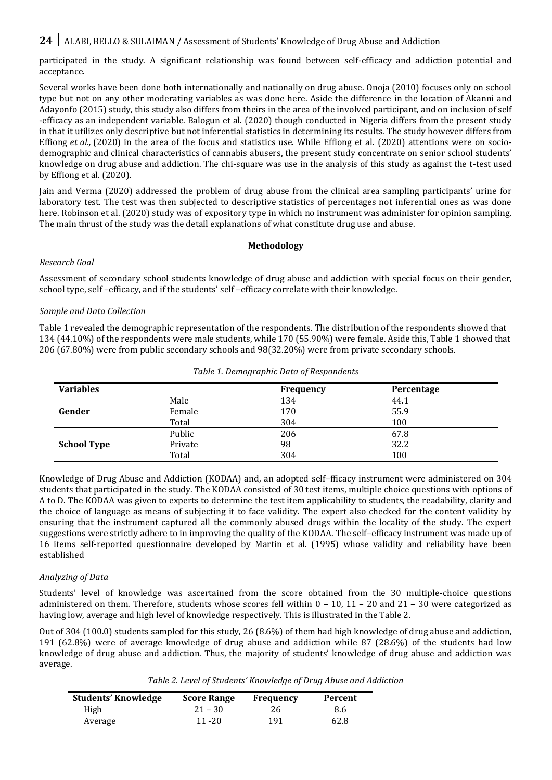participated in the study. A significant relationship was found between self-efficacy and addiction potential and acceptance.

Several works have been done both internationally and nationally on drug abuse. Onoja (2010) focuses only on school type but not on any other moderating variables as was done here. Aside the difference in the location of Akanni and Adayonfo (2015) study, this study also differs from theirs in the area of the involved participant, and on inclusion of self -efficacy as an independent variable. Balogun et al. (2020) though conducted in Nigeria differs from the present study in that it utilizes only descriptive but not inferential statistics in determining its results. The study however differs from Effiong *et al.*, (2020) in the area of the focus and statistics use. While Effiong et al. (2020) attentions were on sociodemographic and clinical characteristics of cannabis abusers, the present study concentrate on senior school students' knowledge on drug abuse and addiction. The chi-square was use in the analysis of this study as against the t-test used by Effiong et al. (2020).

Jain and Verma (2020) addressed the problem of drug abuse from the clinical area sampling participants' urine for laboratory test. The test was then subjected to descriptive statistics of percentages not inferential ones as was done here. Robinson et al. (2020) study was of expository type in which no instrument was administer for opinion sampling. The main thrust of the study was the detail explanations of what constitute drug use and abuse.

# **Methodology**

# *Research Goal*

Assessment of secondary school students knowledge of drug abuse and addiction with special focus on their gender, school type, self –efficacy, and if the students' self –efficacy correlate with their knowledge.

# *Sample and Data Collection*

Table 1 revealed the demographic representation of the respondents. The distribution of the respondents showed that 134 (44.10%) of the respondents were male students, while 170 (55.90%) were female. Aside this, Table 1 showed that 206 (67.80%) were from public secondary schools and 98(32.20%) were from private secondary schools.

| <b>Variables</b>   |         | <b>Frequency</b> | Percentage |  |
|--------------------|---------|------------------|------------|--|
|                    | Male    | 134              | 44.1       |  |
| Gender             | Female  | 170              | 55.9       |  |
|                    | Total   | 304              | 100        |  |
|                    | Public  | 206              | 67.8       |  |
| <b>School Type</b> | Private | 98               | 32.2       |  |
|                    | Total   | 304              | 100        |  |

*Table 1. Demographic Data of Respondents*

Knowledge of Drug Abuse and Addiction (KODAA) and, an adopted self–fficacy instrument were administered on 304 students that participated in the study. The KODAA consisted of 30 test items, multiple choice questions with options of A to D. The KODAA was given to experts to determine the test item applicability to students, the readability, clarity and the choice of language as means of subjecting it to face validity. The expert also checked for the content validity by ensuring that the instrument captured all the commonly abused drugs within the locality of the study. The expert suggestions were strictly adhere to in improving the quality of the KODAA. The self–efficacy instrument was made up of 16 items self-reported questionnaire developed by Martin et al. (1995) whose validity and reliability have been established

# *Analyzing of Data*

Students' level of knowledge was ascertained from the score obtained from the 30 multiple-choice questions administered on them. Therefore, students whose scores fell within 0 – 10, 11 – 20 and 21 – 30 were categorized as having low, average and high level of knowledge respectively. This is illustrated in the Table 2.

Out of 304 (100.0) students sampled for this study, 26 (8.6%) of them had high knowledge of drug abuse and addiction, 191 (62.8%) were of average knowledge of drug abuse and addiction while 87 (28.6%) of the students had low knowledge of drug abuse and addiction. Thus, the majority of students' knowledge of drug abuse and addiction was average.

| Table 2. Level of Students' Knowledge of Drug Abuse and Addiction |
|-------------------------------------------------------------------|
|-------------------------------------------------------------------|

| Students' Knowledge | <b>Score Range</b> | Frequency | Percent |
|---------------------|--------------------|-----------|---------|
| High                | $21 - 30$          |           | 8.6     |
| Average             | $11 - 20$          | 191       | 62.8    |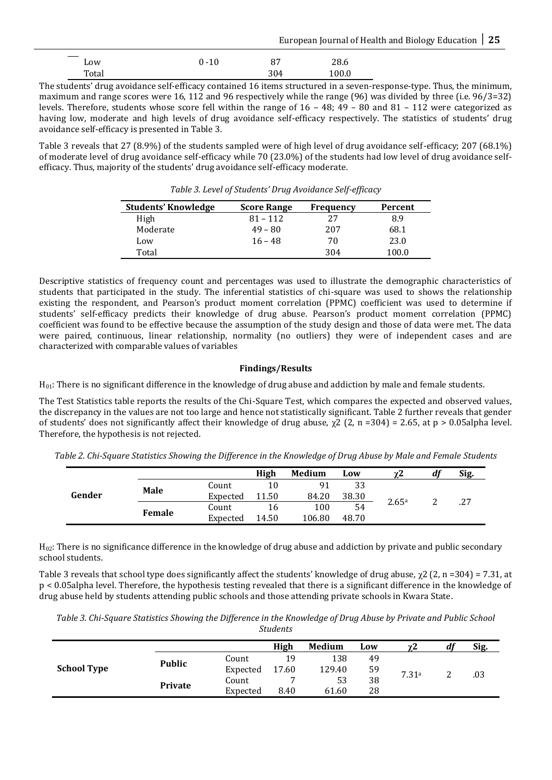European Journal of Health and Biology Education **25**

| Low   | $0 - 10$ | 87  | 28.6  |
|-------|----------|-----|-------|
| Total |          | 304 | 100.0 |

The students' drug avoidance self-efficacy contained 16 items structured in a seven-response-type. Thus, the minimum, maximum and range scores were 16, 112 and 96 respectively while the range (96) was divided by three (i.e. 96/3=32) levels. Therefore, students whose score fell within the range of 16 – 48; 49 – 80 and 81 – 112 were categorized as having low, moderate and high levels of drug avoidance self-efficacy respectively. The statistics of students' drug avoidance self-efficacy is presented in Table 3.

Table 3 reveals that 27 (8.9%) of the students sampled were of high level of drug avoidance self-efficacy; 207 (68.1%) of moderate level of drug avoidance self-efficacy while 70 (23.0%) of the students had low level of drug avoidance selfefficacy. Thus, majority of the students' drug avoidance self-efficacy moderate.

| <b>Students' Knowledge</b> | <b>Score Range</b> | <b>Frequency</b> | Percent |
|----------------------------|--------------------|------------------|---------|
| High                       | $81 - 112$         | 27               | 8.9     |
| Moderate                   | $49 - 80$          | 207              | 68.1    |
| Low                        | $16 - 48$          | 70               | 23.0    |
| Total                      |                    | 304              | 100.0   |

*Table 3. Level of Students' Drug Avoidance Self-efficacy*

Descriptive statistics of frequency count and percentages was used to illustrate the demographic characteristics of students that participated in the study. The inferential statistics of chi-square was used to shows the relationship existing the respondent, and Pearson's product moment correlation (PPMC) coefficient was used to determine if students' self-efficacy predicts their knowledge of drug abuse. Pearson's product moment correlation (PPMC) coefficient was found to be effective because the assumption of the study design and those of data were met. The data were paired, continuous, linear relationship, normality (no outliers) they were of independent cases and are characterized with comparable values of variables

# **Findings/Results**

H01: There is no significant difference in the knowledge of drug abuse and addiction by male and female students.

The Test Statistics table reports the results of the Chi-Square Test, which compares the expected and observed values, the discrepancy in the values are not too large and hence not statistically significant. Table 2 further reveals that gender of students' does not significantly affect their knowledge of drug abuse,  $\chi^2$  (2, n =304) = 2.65, at p > 0.05alpha level. Therefore, the hypothesis is not rejected.

*Table 2. Chi-Square Statistics Showing the Difference in the Knowledge of Drug Abuse by Male and Female Students*

|        |             |          | High  | Medium | Low   | $\gamma$ 2 | di | Sig. |
|--------|-------------|----------|-------|--------|-------|------------|----|------|
| Gender | <b>Male</b> | Count    | 10    | 91     | 33    |            |    |      |
|        |             | Expected | 11.50 | 84.20  | 38.30 | 2.65a      |    |      |
|        | Female      | Count    | 16    | 100    | 54    |            | ▃  | .27  |
|        |             | Expected | 14.50 | 106.80 | 48.70 |            |    |      |

H02: There is no significance difference in the knowledge of drug abuse and addiction by private and public secondary school students.

Table 3 reveals that school type does significantly affect the students' knowledge of drug abuse,  $\gamma$ 2 (2, n =304) = 7.31, at p < 0.05alpha level. Therefore, the hypothesis testing revealed that there is a significant difference in the knowledge of drug abuse held by students attending public schools and those attending private schools in Kwara State.

*Table 3. Chi-Square Statistics Showing the Difference in the Knowledge of Drug Abuse by Private and Public School Students*

|                    |                |          | High  | Medium | Low | γ2    | df | Sig. |
|--------------------|----------------|----------|-------|--------|-----|-------|----|------|
| <b>School Type</b> |                | Count    | 19    | 138    | 49  | 7.31a |    | .03  |
|                    | <b>Public</b>  | Expected | 17.60 | 129.40 | 59  |       |    |      |
|                    | <b>Private</b> | Count    | −     | 53     | 38  |       |    |      |
|                    |                | Expected | 8.40  | 61.60  | 28  |       |    |      |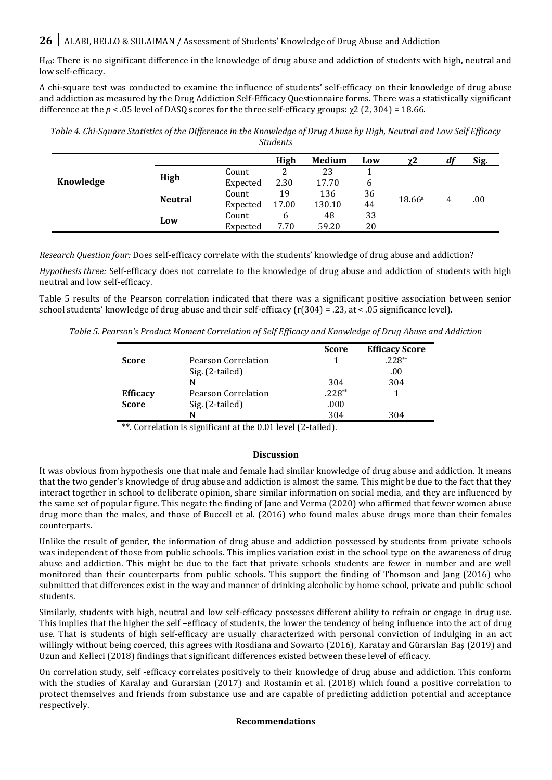H03: There is no significant difference in the knowledge of drug abuse and addiction of students with high, neutral and low self-efficacy.

A chi-square test was conducted to examine the influence of students' self-efficacy on their knowledge of drug abuse and addiction as measured by the Drug Addiction Self-Efficacy Questionnaire forms. There was a statistically significant difference at the  $p < 0.05$  level of DASQ scores for the three self-efficacy groups:  $\gamma$ 2 (2, 304) = 18.66.

*Table 4. Chi-Square Statistics of the Difference in the Knowledge of Drug Abuse by High, Neutral and Low Self Efficacy Students*

|           |                |          | High  | Medium | Low | $\chi^2$ | u | Sig. |
|-----------|----------------|----------|-------|--------|-----|----------|---|------|
|           |                | Count    |       | 23     |     |          |   |      |
| Knowledge | High           | Expected | 2.30  | 17.70  | 6   |          | 4 | .00  |
|           | <b>Neutral</b> | Count    | 19    | 136    | 36  | 18.66a   |   |      |
|           |                | Expected | 17.00 | 130.10 | 44  |          |   |      |
|           | Low            | Count    | 6     | 48     | 33  |          |   |      |
|           |                | Expected | 7.70  | 59.20  | 20  |          |   |      |

*Research Question four:* Does self-efficacy correlate with the students' knowledge of drug abuse and addiction?

*Hypothesis three:* Self-efficacy does not correlate to the knowledge of drug abuse and addiction of students with high neutral and low self-efficacy.

Table 5 results of the Pearson correlation indicated that there was a significant positive association between senior school students' knowledge of drug abuse and their self-efficacy ( $r(304) = .23$ , at < .05 significance level).

*Table 5. Pearson's Product Moment Correlation of Self Efficacy and Knowledge of Drug Abuse and Addiction*

|                 |                     | <b>Score</b> | <b>Efficacy Score</b> |
|-----------------|---------------------|--------------|-----------------------|
| <b>Score</b>    | Pearson Correlation |              | $.228**$              |
|                 | Sig. (2-tailed)     |              | .00                   |
|                 | N                   | 304          | 304                   |
| <b>Efficacy</b> | Pearson Correlation | $.228**$     |                       |
| <b>Score</b>    | Sig. (2-tailed)     | .000         |                       |
|                 | N                   | 304          | 304                   |

\*\*. Correlation is significant at the 0.01 level (2-tailed).

#### **Discussion**

It was obvious from hypothesis one that male and female had similar knowledge of drug abuse and addiction. It means that the two gender's knowledge of drug abuse and addiction is almost the same. This might be due to the fact that they interact together in school to deliberate opinion, share similar information on social media, and they are influenced by the same set of popular figure. This negate the finding of Jane and Verma (2020) who affirmed that fewer women abuse drug more than the males, and those of Buccell et al. (2016) who found males abuse drugs more than their females counterparts.

Unlike the result of gender, the information of drug abuse and addiction possessed by students from private schools was independent of those from public schools. This implies variation exist in the school type on the awareness of drug abuse and addiction. This might be due to the fact that private schools students are fewer in number and are well monitored than their counterparts from public schools. This support the finding of Thomson and Jang (2016) who submitted that differences exist in the way and manner of drinking alcoholic by home school, private and public school students.

Similarly, students with high, neutral and low self-efficacy possesses different ability to refrain or engage in drug use. This implies that the higher the self –efficacy of students, the lower the tendency of being influence into the act of drug use. That is students of high self-efficacy are usually characterized with personal conviction of indulging in an act willingly without being coerced, this agrees with Rosdiana and Sowarto (2016), Karatay and Gürarslan Baş (2019) and Uzun and Kelleci (2018) findings that significant differences existed between these level of efficacy.

On correlation study, self -efficacy correlates positively to their knowledge of drug abuse and addiction. This conform with the studies of Karalay and Gurarsian (2017) and Rostamin et al. (2018) which found a positive correlation to protect themselves and friends from substance use and are capable of predicting addiction potential and acceptance respectively.

# **Recommendations**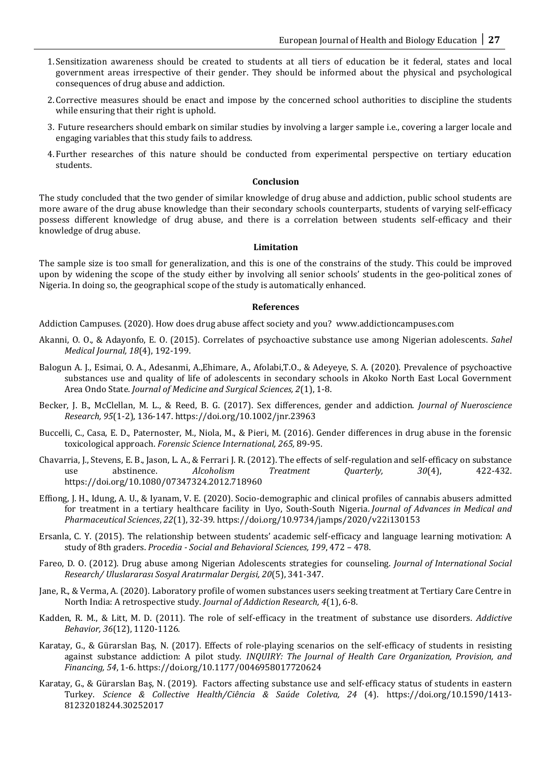- 1. Sensitization awareness should be created to students at all tiers of education be it federal, states and local government areas irrespective of their gender. They should be informed about the physical and psychological consequences of drug abuse and addiction.
- 2. Corrective measures should be enact and impose by the concerned school authorities to discipline the students while ensuring that their right is uphold.
- 3. Future researchers should embark on similar studies by involving a larger sample i.e., covering a larger locale and engaging variables that this study fails to address.
- 4. Further researches of this nature should be conducted from experimental perspective on tertiary education students.

#### **Conclusion**

The study concluded that the two gender of similar knowledge of drug abuse and addiction, public school students are more aware of the drug abuse knowledge than their secondary schools counterparts, students of varying self-efficacy possess different knowledge of drug abuse, and there is a correlation between students self-efficacy and their knowledge of drug abuse.

#### **Limitation**

The sample size is too small for generalization, and this is one of the constrains of the study. This could be improved upon by widening the scope of the study either by involving all senior schools' students in the geo-political zones of Nigeria. In doing so, the geographical scope of the study is automatically enhanced.

#### **References**

Addiction Campuses. (2020). How does drug abuse affect society and you? www.addictioncampuses.com

- Akanni, O. O., & Adayonfo, E. O. (2015). Correlates of psychoactive substance use among Nigerian adolescents. *Sahel Medical Journal, 18*(4), 192-199.
- Balogun A. J., Esimai, O. A., Adesanmi, A.,Ehimare, A., Afolabi,T.O., & Adeyeye, S. A. (2020). Prevalence of psychoactive substances use and quality of life of adolescents in secondary schools in Akoko North East Local Government Area Ondo State. *Journal of Medicine and Surgical Sciences, 2*(1), 1-8.
- Becker, J. B., McClellan, M. L., & Reed, B. G. (2017). Sex differences, gender and addiction. *Journal of Nueroscience Research, 95*(1-2), 136-147. https://doi.org/10.1002/jnr.23963
- Buccelli, C., Casa, E. D., Paternoster, M., Niola, M., & Pieri, M. (2016). Gender differences in drug abuse in the forensic toxicological approach. *Forensic Science International, 265,* 89-95.
- Chavarria, J., Stevens, E. B., Jason, L. A., & Ferrari J. R. (2012). The effects of self-regulation and self-efficacy on substance use abstinence. *Alcoholism Treatment Quarterly, 30*(4), 422-432. https://doi.org/10.1080/07347324.2012.718960
- Effiong, J. H., Idung, A. U., & Iyanam, V. E. (2020). Socio-demographic and clinical profiles of cannabis abusers admitted for treatment in a tertiary healthcare facility in Uyo, South-South Nigeria. *Journal of Advances in Medical and Pharmaceutical Sciences*, *22*(1), 32-39. https://doi.org/10.9734/jamps/2020/v22i130153
- Ersanla, C. Y. (2015). The relationship between students' academic self-efficacy and language learning motivation: A study of 8th graders. *Procedia - Social and Behavioral Sciences, 199*, 472 – 478.
- Fareo, D. O. (2012). Drug abuse among Nigerian Adolescents strategies for counseling. *Journal of International Social Research/ Uluslararası Sosyal Aratırmalar Dergisi, 20*(5), 341-347.
- Jane, R., & Verma, A. (2020). Laboratory profile of women substances users seeking treatment at Tertiary Care Centre in North India: A retrospective study. *Journal of Addiction Research, 4*(1), 6-8.
- Kadden, R. M., & Litt, M. D. (2011). The role of self-efficacy in the treatment of substance use disorders. *Addictive Behavior, 36*(12), 1120-1126.
- Karatay, G., & Gürarslan Baş, N. (2017). Effects of role-playing scenarios on the self-efficacy of students in resisting against substance addiction: A pilot study. *INQUIRY: The Journal of Health Care Organization, Provision, and Financing, 54*, 1-6. https://doi.org/10.1177/0046958017720624
- Karatay, G., & Gürarslan Baş, N. (2019). Factors affecting substance use and self-efficacy status of students in eastern Turkey. *Science & Collective Health/Ciência & Saúde Coletiva, 24* (4). https://doi.org/10.1590/1413- 81232018244.30252017